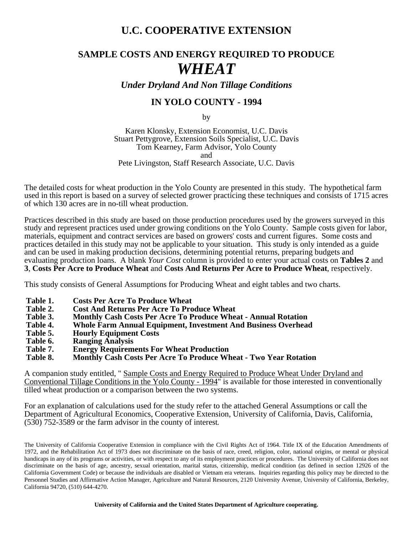# **U.C. COOPERATIVE EXTENSION**

# **SAMPLE COSTS AND ENERGY REQUIRED TO PRODUCE** *WHEAT*

*Under Dryland And Non Tillage Conditions*

## **IN YOLO COUNTY - 1994**

by

Karen Klonsky, Extension Economist, U.C. Davis Stuart Pettygrove, Extension Soils Specialist, U.C. Davis Tom Kearney, Farm Advisor, Yolo County and Pete Livingston, Staff Research Associate, U.C. Davis

The detailed costs for wheat production in the Yolo County are presented in this study. The hypothetical farm used in this report is based on a survey of selected grower practicing these techniques and consists of 1715 acres of which 130 acres are in no-till wheat production.

Practices described in this study are based on those production procedures used by the growers surveyed in this study and represent practices used under growing conditions on the Yolo County. Sample costs given for labor, materials, equipment and contract services are based on growers' costs and current figures. Some costs and practices detailed in this study may not be applicable to your situation. This study is only intended as a guide and can be used in making production decisions, determining potential returns, preparing budgets and evaluating production loans. A blank *Your Cost* column is provided to enter your actual costs on **Tables 2** and **3**, **Costs Per Acre to Produce Wheat** and **Costs And Returns Per Acre to Produce Wheat**, respectively.

This study consists of General Assumptions for Producing Wheat and eight tables and two charts.

- **Table 1. Costs Per Acre To Produce Wheat**
- **Table 2. Cost And Returns Per Acre To Produce Wheat**
- **Table 3. Monthly Cash Costs Per Acre To Produce Wheat Annual Rotation**
- **Table 4. Whole Farm Annual Equipment, Investment And Business Overhead**
- Table 5. **Hourly Equipment Costs**<br>Table 6. **Ranging Analysis**
- **Table 6. Ranging Analysis**
- **Table 7. Energy Requirements For Wheat Production**
- **Monthly Cash Costs Per Acre To Produce Wheat Two Year Rotation**

A companion study entitled, " Sample Costs and Energy Required to Produce Wheat Under Dryland and Conventional Tillage Conditions in the Yolo County - 1994" is available for those interested in conventionally tilled wheat production or a comparison between the two systems.

For an explanation of calculations used for the study refer to the attached General Assumptions or call the Department of Agricultural Economics, Cooperative Extension, University of California, Davis, California, (530) 752-3589 or the farm advisor in the county of interest**.**

The University of California Cooperative Extension in compliance with the Civil Rights Act of 1964. Title IX of the Education Amendments of 1972, and the Rehabilitation Act of 1973 does not discriminate on the basis of race, creed, religion, color, national origins, or mental or physical handicaps in any of its programs or activities, or with respect to any of its employment practices or procedures. The University of California does not discriminate on the basis of age, ancestry, sexual orientation, marital status, citizenship, medical condition (as defined in section 12926 of the California Government Code) or because the individuals are disabled or Vietnam era veterans. Inquiries regarding this policy may be directed to the Personnel Studies and Affirmative Action Manager, Agriculture and Natural Resources, 2120 University Avenue, University of California, Berkeley, California 94720, (510) 644-4270.

**University of California and the United States Department of Agriculture cooperating.**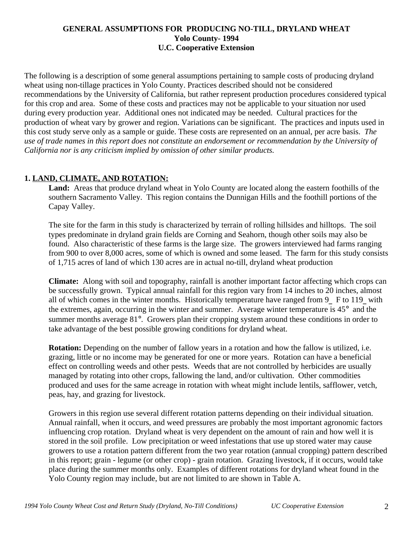## **GENERAL ASSUMPTIONS FOR PRODUCING NO-TILL, DRYLAND WHEAT Yolo County- 1994 U.C. Cooperative Extension**

The following is a description of some general assumptions pertaining to sample costs of producing dryland wheat using non-tillage practices in Yolo County. Practices described should not be considered recommendations by the University of California, but rather represent production procedures considered typical for this crop and area. Some of these costs and practices may not be applicable to your situation nor used during every production year. Additional ones not indicated may be needed.Cultural practices for the production of wheat vary by grower and region. Variations can be significant. The practices and inputs used in this cost study serve only as a sample or guide. These costs are represented on an annual, per acre basis. *The use of trade names in this report does not constitute an endorsement or recommendation by the University of California nor is any criticism implied by omission of other similar products.*

## **1. LAND, CLIMATE, AND ROTATION:**

**Land:** Areas that produce dryland wheat in Yolo County are located along the eastern foothills of the southern Sacramento Valley. This region contains the Dunnigan Hills and the foothill portions of the Capay Valley.

The site for the farm in this study is characterized by terrain of rolling hillsides and hilltops. The soil types predominate in dryland grain fields are Corning and Seahorn, though other soils may also be found. Also characteristic of these farms is the large size. The growers interviewed had farms ranging from 900 to over 8,000 acres, some of which is owned and some leased. The farm for this study consists of 1,715 acres of land of which 130 acres are in actual no-till, dryland wheat production

**Climate:** Along with soil and topography, rainfall is another important factor affecting which crops can be successfully grown. Typical annual rainfall for this region vary from 14 inches to 20 inches, almost all of which comes in the winter months. Historically temperature have ranged from 9\_ F to 119\_ with the extremes, again, occurring in the winter and summer. Average winter temperature is 45° and the summer months average 81°. Growers plan their cropping system around these conditions in order to take advantage of the best possible growing conditions for dryland wheat.

**Rotation:** Depending on the number of fallow years in a rotation and how the fallow is utilized, i.e. grazing, little or no income may be generated for one or more years. Rotation can have a beneficial effect on controlling weeds and other pests. Weeds that are not controlled by herbicides are usually managed by rotating into other crops, fallowing the land, and/or cultivation. Other commodities produced and uses for the same acreage in rotation with wheat might include lentils, safflower, vetch, peas, hay, and grazing for livestock.

Growers in this region use several different rotation patterns depending on their individual situation. Annual rainfall, when it occurs, and weed pressures are probably the most important agronomic factors influencing crop rotation. Dryland wheat is very dependent on the amount of rain and how well it is stored in the soil profile. Low precipitation or weed infestations that use up stored water may cause growers to use a rotation pattern different from the two year rotation (annual cropping) pattern described in this report; grain - legume (or other crop) - grain rotation. Grazing livestock, if it occurs, would take place during the summer months only. Examples of different rotations for dryland wheat found in the Yolo County region may include, but are not limited to are shown in Table A.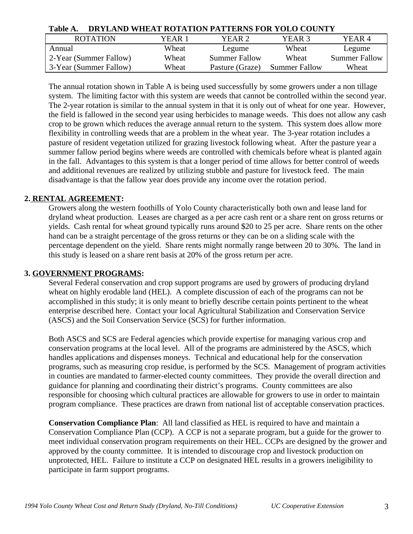| Table A. | DRYLAND WHEAT ROTATION PATTERNS FOR YOLO COUNTY |  |
|----------|-------------------------------------------------|--|
|          |                                                 |  |

| <b>ROTATION</b>        | YEAR 1 | YEAR 2.              | YEAR 3               | YEAR 4               |
|------------------------|--------|----------------------|----------------------|----------------------|
| Annual                 | Wheat  | Legume               | Wheat                | Legume               |
| 2-Year (Summer Fallow) | Wheat  | <b>Summer Fallow</b> | Wheat                | <b>Summer Fallow</b> |
| 3-Year (Summer Fallow) | Wheat  | Pasture (Graze)      | <b>Summer Fallow</b> | Wheat                |

The annual rotation shown in Table A is being used successfully by some growers under a non tillage system. The limiting factor with this system are weeds that cannot be controlled within the second year. The 2-year rotation is similar to the annual system in that it is only out of wheat for one year. However, the field is fallowed in the second year using herbicides to manage weeds. This does not allow any cash crop to be grown which reduces the average annual return to the system. This system does allow more flexibility in controlling weeds that are a problem in the wheat year. The 3-year rotation includes a pasture of resident vegetation utilized for grazing livestock following wheat. After the pasture year a summer fallow period begins where weeds are controlled with chemicals before wheat is planted again in the fall. Advantages to this system is that a longer period of time allows for better control of weeds and additional revenues are realized by utilizing stubble and pasture for livestock feed. The main disadvantage is that the fallow year does provide any income over the rotation period.

## **2. RENTAL AGREEMENT:**

Growers along the western foothills of Yolo County characteristically both own and lease land for dryland wheat production. Leases are charged as a per acre cash rent or a share rent on gross returns or yields. Cash rental for wheat ground typically runs around \$20 to 25 per acre. Share rents on the other hand can be a straight percentage of the gross returns or they can be on a sliding scale with the percentage dependent on the yield. Share rents might normally range between 20 to 30%. The land in this study is leased on a share rent basis at 20% of the gross return per acre.

## **3. GOVERNMENT PROGRAMS:**

Several Federal conservation and crop support programs are used by growers of producing dryland wheat on highly erodable land (HEL). A complete discussion of each of the programs can not be accomplished in this study; it is only meant to briefly describe certain points pertinent to the wheat enterprise described here. Contact your local Agricultural Stabilization and Conservation Service (ASCS) and the Soil Conservation Service (SCS) for further information.

Both ASCS and SCS are Federal agencies which provide expertise for managing various crop and conservation programs at the local level. All of the programs are administered by the ASCS, which handles applications and dispenses moneys. Technical and educational help for the conservation programs, such as measuring crop residue, is performed by the SCS. Management of program activities in counties are mandated to farmer-elected county committees. They provide the overall direction and guidance for planning and coordinating their district's programs. County committees are also responsible for choosing which cultural practices are allowable for growers to use in order to maintain program compliance. These practices are drawn from national list of acceptable conservation practices.

**Conservation Compliance Plan**: All land classified as HEL is required to have and maintain a Conservation Compliance Plan (CCP). A CCP is not a separate program, but a guide for the grower to meet individual conservation program requirements on their HEL. CCPs are designed by the grower and approved by the county committee. It is intended to discourage crop and livestock production on unprotected, HEL. Failure to institute a CCP on designated HEL results in a growers ineligibility to participate in farm support programs.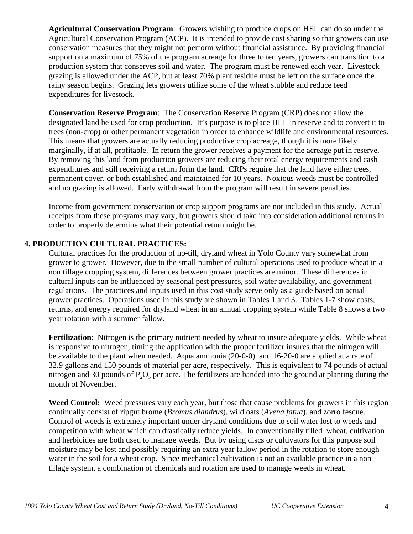**Agricultural Conservation Program**: Growers wishing to produce crops on HEL can do so under the Agricultural Conservation Program (ACP). It is intended to provide cost sharing so that growers can use conservation measures that they might not perform without financial assistance. By providing financial support on a maximum of 75% of the program acreage for three to ten years, growers can transition to a production system that conserves soil and water. The program must be renewed each year. Livestock grazing is allowed under the ACP, but at least 70% plant residue must be left on the surface once the rainy season begins. Grazing lets growers utilize some of the wheat stubble and reduce feed expenditures for livestock.

**Conservation Reserve Program**: The Conservation Reserve Program (CRP) does not allow the designated land be used for crop production. It's purpose is to place HEL in reserve and to convert it to trees (non-crop) or other permanent vegetation in order to enhance wildlife and environmental resources. This means that growers are actually reducing productive crop acreage, though it is more likely marginally, if at all, profitable. In return the grower receives a payment for the acreage put in reserve. By removing this land from production growers are reducing their total energy requirements and cash expenditures and still receiving a return form the land. CRPs require that the land have either trees, permanent cover, or both established and maintained for 10 years. Noxious weeds must be controlled and no grazing is allowed. Early withdrawal from the program will result in severe penalties.

Income from government conservation or crop support programs are not included in this study. Actual receipts from these programs may vary, but growers should take into consideration additional returns in order to properly determine what their potential return might be.

## **4. PRODUCTION CULTURAL PRACTICES:**

Cultural practices for the production of no-till, dryland wheat in Yolo County vary somewhat from grower to grower. However, due to the small number of cultural operations used to produce wheat in a non tillage cropping system, differences between grower practices are minor. These differences in cultural inputs can be influenced by seasonal pest pressures, soil water availability, and government regulations. The practices and inputs used in this cost study serve only as a guide based on actual grower practices. Operations used in this study are shown in Tables 1 and 3. Tables 1-7 show costs, returns, and energy required for dryland wheat in an annual cropping system while Table 8 shows a two year rotation with a summer fallow.

**Fertilization**: Nitrogen is the primary nutrient needed by wheat to insure adequate yields. While wheat is responsive to nitrogen, timing the application with the proper fertilizer insures that the nitrogen will be available to the plant when needed. Aqua ammonia (20-0-0) and 16-20-0 are applied at a rate of 32.9 gallons and 150 pounds of material per acre, respectively. This is equivalent to 74 pounds of actual nitrogen and 30 pounds of  $P_2O_5$  per acre. The fertilizers are banded into the ground at planting during the month of November.

**Weed Control:** Weed pressures vary each year, but those that cause problems for growers in this region continually consist of ripgut brome (*Bromus diandrus*), wild oats (*Avena fatua*), and zorro fescue. Control of weeds is extremely important under dryland conditions due to soil water lost to weeds and competition with wheat which can drastically reduce yields. In conventionally tilled wheat, cultivation and herbicides are both used to manage weeds. But by using discs or cultivators for this purpose soil moisture may be lost and possibly requiring an extra year fallow period in the rotation to store enough water in the soil for a wheat crop. Since mechanical cultivation is not an available practice in a non tillage system, a combination of chemicals and rotation are used to manage weeds in wheat.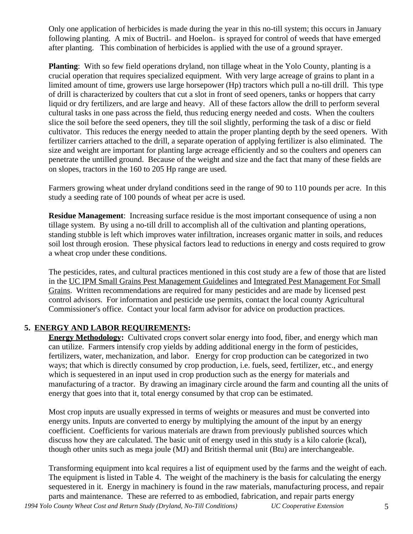Only one application of herbicides is made during the year in this no-till system; this occurs in January following planting. A mix of Buctril- and Hoelon- is sprayed for control of weeds that have emerged after planting. This combination of herbicides is applied with the use of a ground sprayer.

**Planting**: With so few field operations dryland, non tillage wheat in the Yolo County, planting is a crucial operation that requires specialized equipment. With very large acreage of grains to plant in a limited amount of time, growers use large horsepower (Hp) tractors which pull a no-till drill. This type of drill is characterized by coulters that cut a slot in front of seed openers, tanks or hoppers that carry liquid or dry fertilizers, and are large and heavy. All of these factors allow the drill to perform several cultural tasks in one pass across the field, thus reducing energy needed and costs. When the coulters slice the soil before the seed openers, they till the soil slightly, performing the task of a disc or field cultivator. This reduces the energy needed to attain the proper planting depth by the seed openers. With fertilizer carriers attached to the drill, a separate operation of applying fertilizer is also eliminated. The size and weight are important for planting large acreage efficiently and so the coulters and openers can penetrate the untilled ground. Because of the weight and size and the fact that many of these fields are on slopes, tractors in the 160 to 205 Hp range are used.

Farmers growing wheat under dryland conditions seed in the range of 90 to 110 pounds per acre. In this study a seeding rate of 100 pounds of wheat per acre is used.

**Residue Management:** Increasing surface residue is the most important consequence of using a non tillage system. By using a no-till drill to accomplish all of the cultivation and planting operations, standing stubble is left which improves water infiltration, increases organic matter in soils, and reduces soil lost through erosion. These physical factors lead to reductions in energy and costs required to grow a wheat crop under these conditions.

The pesticides, rates, and cultural practices mentioned in this cost study are a few of those that are listed in the UC IPM Small Grains Pest Management Guidelines and Integrated Pest Management For Small Grains. Written recommendations are required for many pesticides and are made by licensed pest control advisors. For information and pesticide use permits, contact the local county Agricultural Commissioner's office. Contact your local farm advisor for advice on production practices.

## **5. ENERGY AND LABOR REQUIREMENTS:**

**Energy Methodology:** Cultivated crops convert solar energy into food, fiber, and energy which man can utilize. Farmers intensify crop yields by adding additional energy in the form of pesticides, fertilizers, water, mechanization, and labor. Energy for crop production can be categorized in two ways; that which is directly consumed by crop production, i.e. fuels, seed, fertilizer, etc., and energy which is sequestered in an input used in crop production such as the energy for materials and manufacturing of a tractor. By drawing an imaginary circle around the farm and counting all the units of energy that goes into that it, total energy consumed by that crop can be estimated.

Most crop inputs are usually expressed in terms of weights or measures and must be converted into energy units. Inputs are converted to energy by multiplying the amount of the input by an energy coefficient. Coefficients for various materials are drawn from previously published sources which discuss how they are calculated. The basic unit of energy used in this study is a kilo calorie (kcal), though other units such as mega joule (MJ) and British thermal unit (Btu) are interchangeable.

Transforming equipment into kcal requires a list of equipment used by the farms and the weight of each. The equipment is listed in Table 4. The weight of the machinery is the basis for calculating the energy sequestered in it. Energy in machinery is found in the raw materials, manufacturing process, and repair parts and maintenance. These are referred to as embodied, fabrication, and repair parts energy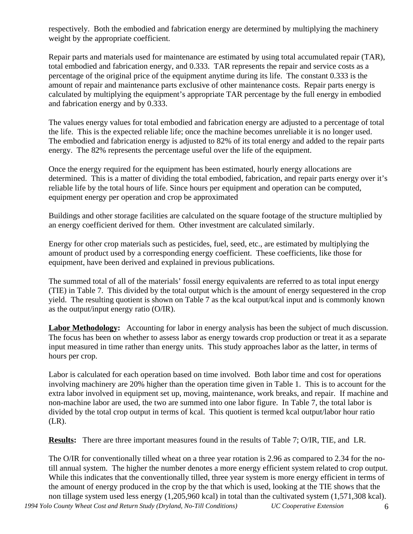respectively. Both the embodied and fabrication energy are determined by multiplying the machinery weight by the appropriate coefficient.

Repair parts and materials used for maintenance are estimated by using total accumulated repair (TAR), total embodied and fabrication energy, and 0.333. TAR represents the repair and service costs as a percentage of the original price of the equipment anytime during its life. The constant 0.333 is the amount of repair and maintenance parts exclusive of other maintenance costs. Repair parts energy is calculated by multiplying the equipment's appropriate TAR percentage by the full energy in embodied and fabrication energy and by 0.333.

The values energy values for total embodied and fabrication energy are adjusted to a percentage of total the life. This is the expected reliable life; once the machine becomes unreliable it is no longer used. The embodied and fabrication energy is adjusted to 82% of its total energy and added to the repair parts energy. The 82% represents the percentage useful over the life of the equipment.

Once the energy required for the equipment has been estimated, hourly energy allocations are determined. This is a matter of dividing the total embodied, fabrication, and repair parts energy over it's reliable life by the total hours of life. Since hours per equipment and operation can be computed, equipment energy per operation and crop be approximated

Buildings and other storage facilities are calculated on the square footage of the structure multiplied by an energy coefficient derived for them. Other investment are calculated similarly.

Energy for other crop materials such as pesticides, fuel, seed, etc., are estimated by multiplying the amount of product used by a corresponding energy coefficient. These coefficients, like those for equipment, have been derived and explained in previous publications.

The summed total of all of the materials' fossil energy equivalents are referred to as total input energy (TIE) in Table 7. This divided by the total output which is the amount of energy sequestered in the crop yield. The resulting quotient is shown on Table 7 as the kcal output/kcal input and is commonly known as the output/input energy ratio (O/IR).

**Labor Methodology:** Accounting for labor in energy analysis has been the subject of much discussion. The focus has been on whether to assess labor as energy towards crop production or treat it as a separate input measured in time rather than energy units. This study approaches labor as the latter, in terms of hours per crop.

Labor is calculated for each operation based on time involved. Both labor time and cost for operations involving machinery are 20% higher than the operation time given in Table 1. This is to account for the extra labor involved in equipment set up, moving, maintenance, work breaks, and repair. If machine and non-machine labor are used, the two are summed into one labor figure. In Table 7, the total labor is divided by the total crop output in terms of kcal. This quotient is termed kcal output/labor hour ratio (LR).

**Results:** There are three important measures found in the results of Table 7; O/IR, TIE, and LR.

The O/IR for conventionally tilled wheat on a three year rotation is 2.96 as compared to 2.34 for the notill annual system. The higher the number denotes a more energy efficient system related to crop output. While this indicates that the conventionally tilled, three year system is more energy efficient in terms of the amount of energy produced in the crop by the that which is used, looking at the TIE shows that the non tillage system used less energy (1,205,960 kcal) in total than the cultivated system (1,571,308 kcal).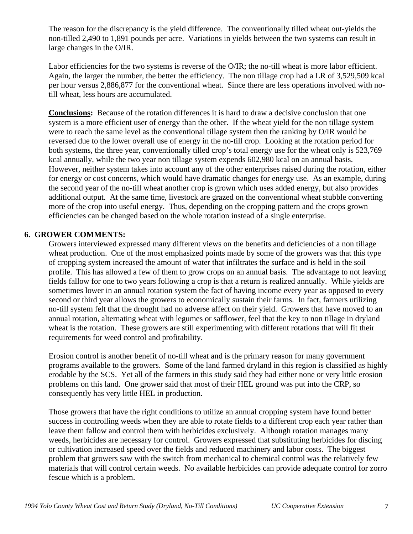The reason for the discrepancy is the yield difference. The conventionally tilled wheat out-yields the non-tilled 2,490 to 1,891 pounds per acre. Variations in yields between the two systems can result in large changes in the O/IR.

Labor efficiencies for the two systems is reverse of the O/IR; the no-till wheat is more labor efficient. Again, the larger the number, the better the efficiency. The non tillage crop had a LR of 3,529,509 kcal per hour versus 2,886,877 for the conventional wheat. Since there are less operations involved with notill wheat, less hours are accumulated.

**Conclusions:** Because of the rotation differences it is hard to draw a decisive conclusion that one system is a more efficient user of energy than the other. If the wheat yield for the non tillage system were to reach the same level as the conventional tillage system then the ranking by O/IR would be reversed due to the lower overall use of energy in the no-till crop. Looking at the rotation period for both systems, the three year, conventionally tilled crop's total energy use for the wheat only is 523,769 kcal annually, while the two year non tillage system expends 602,980 kcal on an annual basis. However, neither system takes into account any of the other enterprises raised during the rotation, either for energy or cost concerns, which would have dramatic changes for energy use. As an example, during the second year of the no-till wheat another crop is grown which uses added energy, but also provides additional output. At the same time, livestock are grazed on the conventional wheat stubble converting more of the crop into useful energy. Thus, depending on the cropping pattern and the crops grown efficiencies can be changed based on the whole rotation instead of a single enterprise.

## **6. GROWER COMMENTS:**

Growers interviewed expressed many different views on the benefits and deficiencies of a non tillage wheat production. One of the most emphasized points made by some of the growers was that this type of cropping system increased the amount of water that infiltrates the surface and is held in the soil profile. This has allowed a few of them to grow crops on an annual basis. The advantage to not leaving fields fallow for one to two years following a crop is that a return is realized annually. While yields are sometimes lower in an annual rotation system the fact of having income every year as opposed to every second or third year allows the growers to economically sustain their farms. In fact, farmers utilizing no-till system felt that the drought had no adverse affect on their yield. Growers that have moved to an annual rotation, alternating wheat with legumes or safflower, feel that the key to non tillage in dryland wheat is the rotation. These growers are still experimenting with different rotations that will fit their requirements for weed control and profitability.

Erosion control is another benefit of no-till wheat and is the primary reason for many government programs available to the growers. Some of the land farmed dryland in this region is classified as highly erodable by the SCS. Yet all of the farmers in this study said they had either none or very little erosion problems on this land. One grower said that most of their HEL ground was put into the CRP, so consequently has very little HEL in production.

Those growers that have the right conditions to utilize an annual cropping system have found better success in controlling weeds when they are able to rotate fields to a different crop each year rather than leave them fallow and control them with herbicides exclusively. Although rotation manages many weeds, herbicides are necessary for control. Growers expressed that substituting herbicides for discing or cultivation increased speed over the fields and reduced machinery and labor costs. The biggest problem that growers saw with the switch from mechanical to chemical control was the relatively few materials that will control certain weeds. No available herbicides can provide adequate control for zorro fescue which is a problem.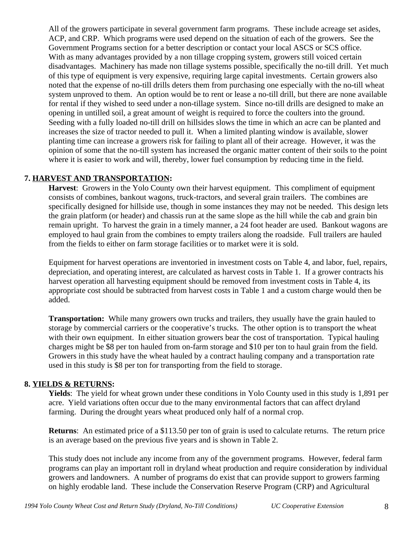All of the growers participate in several government farm programs. These include acreage set asides, ACP, and CRP. Which programs were used depend on the situation of each of the growers. See the Government Programs section for a better description or contact your local ASCS or SCS office. With as many advantages provided by a non tillage cropping system, growers still voiced certain disadvantages. Machinery has made non tillage systems possible, specifically the no-till drill. Yet much of this type of equipment is very expensive, requiring large capital investments. Certain growers also noted that the expense of no-till drills deters them from purchasing one especially with the no-till wheat system unproved to them. An option would be to rent or lease a no-till drill, but there are none available for rental if they wished to seed under a non-tillage system. Since no-till drills are designed to make an opening in untilled soil, a great amount of weight is required to force the coulters into the ground. Seeding with a fully loaded no-till drill on hillsides slows the time in which an acre can be planted and increases the size of tractor needed to pull it. When a limited planting window is available, slower planting time can increase a growers risk for failing to plant all of their acreage. However, it was the opinion of some that the no-till system has increased the organic matter content of their soils to the point where it is easier to work and will, thereby, lower fuel consumption by reducing time in the field.

## **7. HARVEST AND TRANSPORTATION:**

**Harvest**: Growers in the Yolo County own their harvest equipment. This compliment of equipment consists of combines, bankout wagons, truck-tractors, and several grain trailers. The combines are specifically designed for hillside use, though in some instances they may not be needed. This design lets the grain platform (or header) and chassis run at the same slope as the hill while the cab and grain bin remain upright. To harvest the grain in a timely manner, a 24 foot header are used. Bankout wagons are employed to haul grain from the combines to empty trailers along the roadside. Full trailers are hauled from the fields to either on farm storage facilities or to market were it is sold.

Equipment for harvest operations are inventoried in investment costs on Table 4, and labor, fuel, repairs, depreciation, and operating interest, are calculated as harvest costs in Table 1. If a grower contracts his harvest operation all harvesting equipment should be removed from investment costs in Table 4, its appropriate cost should be subtracted from harvest costs in Table 1 and a custom charge would then be added.

**Transportation:** While many growers own trucks and trailers, they usually have the grain hauled to storage by commercial carriers or the cooperative's trucks. The other option is to transport the wheat with their own equipment. In either situation growers bear the cost of transportation. Typical hauling charges might be \$8 per ton hauled from on-farm storage and \$10 per ton to haul grain from the field. Growers in this study have the wheat hauled by a contract hauling company and a transportation rate used in this study is \$8 per ton for transporting from the field to storage.

## **8. YIELDS & RETURNS:**

**Yields**: The yield for wheat grown under these conditions in Yolo County used in this study is 1,891 per acre. Yield variations often occur due to the many environmental factors that can affect dryland farming. During the drought years wheat produced only half of a normal crop.

**Returns**: An estimated price of a \$113.50 per ton of grain is used to calculate returns. The return price is an average based on the previous five years and is shown in Table 2.

This study does not include any income from any of the government programs. However, federal farm programs can play an important roll in dryland wheat production and require consideration by individual growers and landowners. A number of programs do exist that can provide support to growers farming on highly erodable land. These include the Conservation Reserve Program (CRP) and Agricultural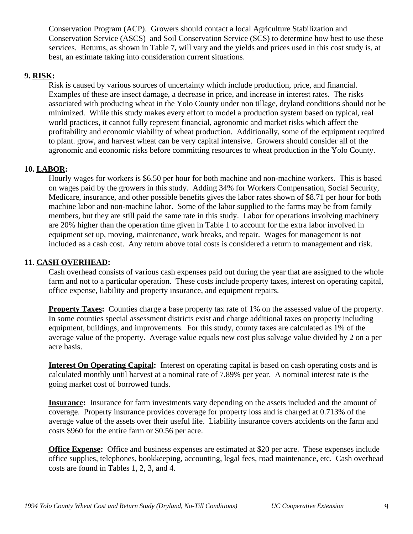Conservation Program (ACP). Growers should contact a local Agriculture Stabilization and Conservation Service (ASCS) and Soil Conservation Service (SCS) to determine how best to use these services. Returns, as shown in Table 7**,** will vary and the yields and prices used in this cost study is, at best, an estimate taking into consideration current situations.

## **9. RISK:**

Risk is caused by various sources of uncertainty which include production, price, and financial. Examples of these are insect damage, a decrease in price, and increase in interest rates. The risks associated with producing wheat in the Yolo County under non tillage, dryland conditions should not be minimized. While this study makes every effort to model a production system based on typical, real world practices, it cannot fully represent financial, agronomic and market risks which affect the profitability and economic viability of wheat production. Additionally, some of the equipment required to plant. grow, and harvest wheat can be very capital intensive. Growers should consider all of the agronomic and economic risks before committing resources to wheat production in the Yolo County.

## **10. LABOR:**

Hourly wages for workers is \$6.50 per hour for both machine and non-machine workers. This is based on wages paid by the growers in this study. Adding 34% for Workers Compensation, Social Security, Medicare, insurance, and other possible benefits gives the labor rates shown of \$8.71 per hour for both machine labor and non-machine labor. Some of the labor supplied to the farms may be from family members, but they are still paid the same rate in this study. Labor for operations involving machinery are 20% higher than the operation time given in Table 1 to account for the extra labor involved in equipment set up, moving, maintenance, work breaks, and repair. Wages for management is not included as a cash cost. Any return above total costs is considered a return to management and risk.

## **11**. **CASH OVERHEAD:**

Cash overhead consists of various cash expenses paid out during the year that are assigned to the whole farm and not to a particular operation. These costs include property taxes, interest on operating capital, office expense, liability and property insurance, and equipment repairs.

**Property Taxes:** Counties charge a base property tax rate of 1% on the assessed value of the property. In some counties special assessment districts exist and charge additional taxes on property including equipment, buildings, and improvements. For this study, county taxes are calculated as 1% of the average value of the property. Average value equals new cost plus salvage value divided by 2 on a per acre basis.

**Interest On Operating Capital:** Interest on operating capital is based on cash operating costs and is calculated monthly until harvest at a nominal rate of 7.89% per year. A nominal interest rate is the going market cost of borrowed funds.

**Insurance:** Insurance for farm investments vary depending on the assets included and the amount of coverage. Property insurance provides coverage for property loss and is charged at 0.713% of the average value of the assets over their useful life. Liability insurance covers accidents on the farm and costs \$960 for the entire farm or \$0.56 per acre.

**Office Expense:** Office and business expenses are estimated at \$20 per acre. These expenses include office supplies, telephones, bookkeeping, accounting, legal fees, road maintenance, etc. Cash overhead costs are found in Tables 1, 2, 3, and 4.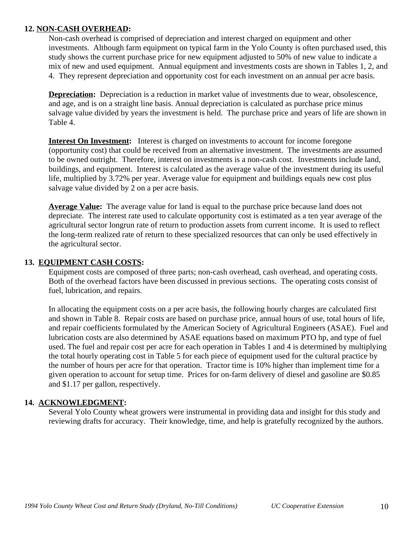## **12. NON-CASH OVERHEAD:**

Non-cash overhead is comprised of depreciation and interest charged on equipment and other investments. Although farm equipment on typical farm in the Yolo County is often purchased used, this study shows the current purchase price for new equipment adjusted to 50% of new value to indicate a mix of new and used equipment. Annual equipment and investments costs are shown in Tables 1, 2, and 4. They represent depreciation and opportunity cost for each investment on an annual per acre basis.

**Depreciation:** Depreciation is a reduction in market value of investments due to wear, obsolescence, and age, and is on a straight line basis. Annual depreciation is calculated as purchase price minus salvage value divided by years the investment is held. The purchase price and years of life are shown in Table 4.

**Interest On Investment:** Interest is charged on investments to account for income foregone (opportunity cost) that could be received from an alternative investment. The investments are assumed to be owned outright. Therefore, interest on investments is a non-cash cost. Investments include land, buildings, and equipment. Interest is calculated as the average value of the investment during its useful life, multiplied by 3.72% per year. Average value for equipment and buildings equals new cost plus salvage value divided by 2 on a per acre basis.

**Average Value:** The average value for land is equal to the purchase price because land does not depreciate. The interest rate used to calculate opportunity cost is estimated as a ten year average of the agricultural sector longrun rate of return to production assets from current income. It is used to reflect the long-term realized rate of return to these specialized resources that can only be used effectively in the agricultural sector.

## **13. EQUIPMENT CASH COSTS:**

Equipment costs are composed of three parts; non-cash overhead, cash overhead, and operating costs. Both of the overhead factors have been discussed in previous sections. The operating costs consist of fuel, lubrication, and repairs.

In allocating the equipment costs on a per acre basis, the following hourly charges are calculated first and shown in Table 8. Repair costs are based on purchase price, annual hours of use, total hours of life, and repair coefficients formulated by the American Society of Agricultural Engineers (ASAE). Fuel and lubrication costs are also determined by ASAE equations based on maximum PTO hp, and type of fuel used. The fuel and repair cost per acre for each operation in Tables 1 and 4 is determined by multiplying the total hourly operating cost in Table 5 for each piece of equipment used for the cultural practice by the number of hours per acre for that operation. Tractor time is 10% higher than implement time for a given operation to account for setup time. Prices for on-farm delivery of diesel and gasoline are \$0.85 and \$1.17 per gallon, respectively.

## **14. ACKNOWLEDGMENT:**

Several Yolo County wheat growers were instrumental in providing data and insight for this study and reviewing drafts for accuracy. Their knowledge, time, and help is gratefully recognized by the authors.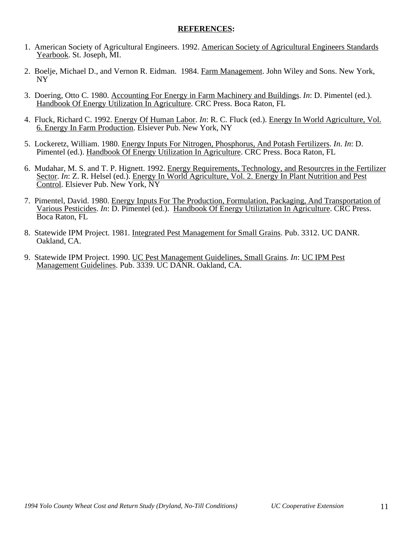## **REFERENCES:**

- 1. American Society of Agricultural Engineers. 1992. American Society of Agricultural Engineers Standards Yearbook. St. Joseph, MI.
- 2. Boelie, Michael D., and Vernon R. Eidman. 1984. Farm Management. John Wiley and Sons. New York, NY
- 3. Doering, Otto C. 1980. Accounting For Energy in Farm Machinery and Buildings. *In*: D. Pimentel (ed.). Handbook Of Energy Utilization In Agriculture. CRC Press. Boca Raton, FL
- 4. Fluck, Richard C. 1992. Energy Of Human Labor. *In*: R. C. Fluck (ed.). Energy In World Agriculture, Vol. 6. Energy In Farm Production. Elsiever Pub. New York, NY
- 5. Lockeretz, William. 1980. Energy Inputs For Nitrogen, Phosphorus, And Potash Fertilizers. *In*. *In*: D. Pimentel (ed.). Handbook Of Energy Utilization In Agriculture. CRC Press. Boca Raton, FL
- 6. Mudahar, M. S. and T. P. Hignett. 1992. Energy Requirements, Technology, and Resourcres in the Fertilizer Sector. *In*: Z. R. Helsel (ed.). Energy In World Agriculture, Vol. 2. Energy In Plant Nutrition and Pest Control. Elsiever Pub. New York, NY
- 7. Pimentel, David. 1980. Energy Inputs For The Production, Formulation, Packaging, And Transportation of Various Pesticides. *In*: D. Pimentel (ed.). Handbook Of Energy Utiliztation In Agriculture. CRC Press. Boca Raton, FL
- 8. Statewide IPM Project. 1981. Integrated Pest Management for Small Grains. Pub. 3312. UC DANR. Oakland, CA.
- 9. Statewide IPM Project. 1990. UC Pest Management Guidelines, Small Grains. *In*: UC IPM Pest Management Guidelines. Pub. 3339. UC DANR. Oakland, CA.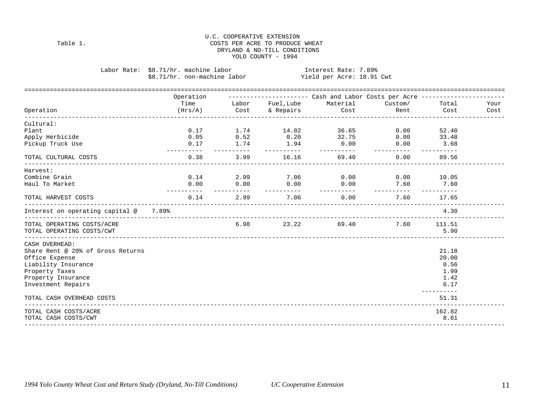### U.C. COOPERATIVE EXTENSION Table 1. Table 1. Table 1. Table 1. DRYLAND & NO-TILL CONDITIONS YOLO COUNTY - 1994

Labor Rate: \$8.71/hr. machine labor Interest Rate: 7.89%<br>\$8.71/hr. non-machine labor Yield per Acre: 18.91 Cwt \$8.71/hr. non-machine labor

|                                       | Operation  |            |             | ---------------------        Cash and Labor Costs per Acre ---------------- |            |                            |  |
|---------------------------------------|------------|------------|-------------|-----------------------------------------------------------------------------|------------|----------------------------|--|
|                                       |            |            |             |                                                                             |            |                            |  |
| Operation                             |            |            |             |                                                                             |            |                            |  |
| Cultural:                             |            |            |             |                                                                             |            |                            |  |
| Plant                                 |            |            |             | $0.17$ $1.74$ $14.02$ $36.65$                                               |            | $0.00$ 52.40               |  |
| Apply Herbicide                       |            |            |             | $0.05$ $0.52$ $0.20$ $32.75$                                                |            | $0.00$ 33.48               |  |
| Pickup Truck Use                      | __________ | __________ |             | $0.17$ 1.74 1.94 0.00<br>___________                                        | __________ | $0.00$ 3.68<br>----------- |  |
| TOTAL CULTURAL COSTS                  |            |            |             | $0.38$ $3.99$ $16.16$ $69.40$ $0.00$ $89.56$                                |            |                            |  |
| Harvest:                              |            |            |             |                                                                             |            |                            |  |
| Combine Grain                         |            |            |             | $0.14$ 2.99 7.06 0.00                                                       |            | $0.00$ 10.05               |  |
| Haul To Market                        |            |            | ___________ | $0.00$ $0.00$ $0.00$ $0.00$ $0.00$ $7.60$ $7.60$                            |            |                            |  |
| TOTAL HARVEST COSTS                   |            |            |             | $0.14$ $2.99$ $7.06$ $0.00$                                                 |            | 7.60 17.65                 |  |
| Interest on operating capital @ 7.89% |            |            |             |                                                                             |            | 4.30                       |  |
| TOTAL OPERATING COSTS/ACRE            |            |            |             | 6.98 23.22 69.40                                                            |            | 7.60 111.51                |  |
| TOTAL OPERATING COSTS/CWT             |            |            |             |                                                                             |            | 5.90                       |  |
| CASH OVERHEAD:                        |            |            |             |                                                                             |            |                            |  |
| Share Rent @ 20% of Gross Returns     |            |            |             |                                                                             |            | 21.18                      |  |
| Office Expense                        |            |            |             |                                                                             |            | 20.00                      |  |
| Liability Insurance                   |            |            |             |                                                                             |            | 0.56                       |  |
| Property Taxes                        |            |            |             |                                                                             |            | 1.99                       |  |
| Property Insurance                    |            |            |             |                                                                             |            | 1.42                       |  |
| Investment Repairs                    |            |            |             |                                                                             |            | 6.17<br>-----------        |  |
| TOTAL CASH OVERHEAD COSTS             |            |            |             |                                                                             |            | 51.31                      |  |
| TOTAL CASH COSTS/ACRE                 |            |            |             |                                                                             |            | 162.82                     |  |
| TOTAL CASH COSTS/CWT                  |            |            |             |                                                                             |            | 8.61                       |  |
|                                       |            |            |             |                                                                             |            |                            |  |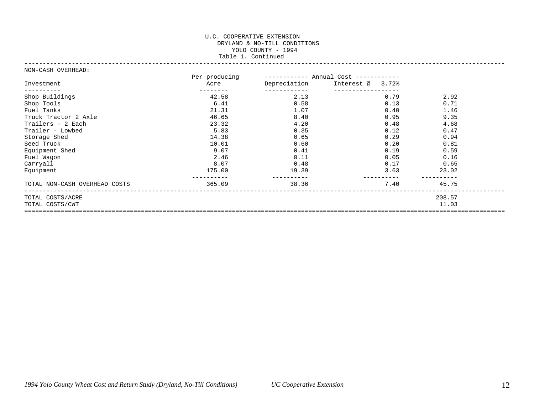#### U.C. COOPERATIVE EXTENSION DRYLAND & NO-TILL CONDITIONS YOLO COUNTY - 1994 Table 1. Continued ------------------------------------------------------------------------------------------------------------------------------------

#### NON-CASH OVERHEAD:

|                               | Per producing |              | ----------- Annual Cost ------------ |        |  |
|-------------------------------|---------------|--------------|--------------------------------------|--------|--|
| Investment                    | Acre          | Depreciation | Interest @ 3.72%                     |        |  |
| Shop Buildings                | 42.58         | 2.13         | 0.79                                 | 2.92   |  |
| Shop Tools                    | 6.41          | 0.58         | 0.13                                 | 0.71   |  |
| Fuel Tanks                    | 21.31         | 1.07         | 0.40                                 | 1.46   |  |
| Truck Tractor 2 Axle          | 46.65         | 8.40         | 0.95                                 | 9.35   |  |
| Trailers - 2 Each             | 23.32         | 4.20         | 0.48                                 | 4.68   |  |
| Trailer - Lowbed              | 5.83          | 0.35         | 0.12                                 | 0.47   |  |
| Storage Shed                  | 14.38         | 0.65         | 0.29                                 | 0.94   |  |
| Seed Truck                    | 10.01         | 0.60         | 0.20                                 | 0.81   |  |
| Equipment Shed                | 9.07          | 0.41         | 0.19                                 | 0.59   |  |
| Fuel Wagon                    | 2.46          | 0.11         | 0.05                                 | 0.16   |  |
| Carryall                      | 8.07          | 0.48         | 0.17                                 | 0.65   |  |
| Equipment                     | 175.00        | 19.39        | 3.63                                 | 23.02  |  |
| TOTAL NON-CASH OVERHEAD COSTS | 365.09        | 38.36        | 7.40                                 | 45.75  |  |
| TOTAL COSTS/ACRE              |               |              |                                      | 208.57 |  |
| TOTAL COSTS/CWT               |               |              |                                      | 11.03  |  |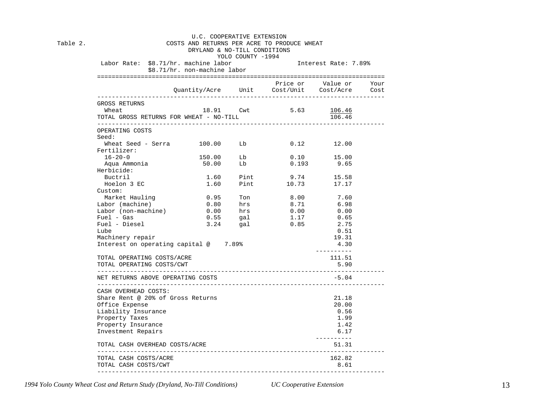| Table 2. | U.C. COOPERATIVE EXTENSION<br>COSTS AND RETURNS PER ACRE TO PRODUCE WHEAT<br>DRYLAND & NO-TILL CONDITIONS<br>YOLO COUNTY -1994 |                                        |            |                                                                |                          |  |  |  |  |  |  |
|----------|--------------------------------------------------------------------------------------------------------------------------------|----------------------------------------|------------|----------------------------------------------------------------|--------------------------|--|--|--|--|--|--|
|          |                                                                                                                                | \$8.71/hr. non-machine labor           |            | Labor Rate: \$8.71/hr. machine labor [18] Interest Rate: 7.89% |                          |  |  |  |  |  |  |
|          |                                                                                                                                |                                        |            | Quantity/Acre Unit Cost/Unit Cost/Acre Cost                    | Price or Value or Your   |  |  |  |  |  |  |
|          | GROSS RETURNS<br>18.91 Cwt 5.63 106.46<br>Wheat<br>TOTAL GROSS RETURNS FOR WHEAT - NO-TILL<br>106.46                           |                                        |            |                                                                |                          |  |  |  |  |  |  |
|          | OPERATING COSTS<br>Seed:                                                                                                       |                                        |            |                                                                |                          |  |  |  |  |  |  |
|          | Wheat Seed - Serra $100.00$ Lb $0.12$ $12.00$<br>Fertilizer:                                                                   |                                        |            |                                                                |                          |  |  |  |  |  |  |
|          | $16 - 20 - 0$                                                                                                                  | $150.00$<br>$50.00$                    | Lb         |                                                                | 0.10 15.00<br>0.193 9.65 |  |  |  |  |  |  |
|          | Aqua Ammonia<br>Herbicide:                                                                                                     |                                        | Lb         | 0.193                                                          |                          |  |  |  |  |  |  |
|          | Buctril                                                                                                                        |                                        |            | 1.60 Pint 9.74                                                 | 15.58                    |  |  |  |  |  |  |
|          | Hoelon 3 EC<br>Custom:                                                                                                         | 1.60                                   |            | Pint 10.73                                                     | 17.17                    |  |  |  |  |  |  |
|          | Market Hauling                                                                                                                 | 0.95                                   | Ton        | 8.00 7.60<br>8.71 6.98                                         |                          |  |  |  |  |  |  |
|          | Labor (machine)                                                                                                                |                                        |            |                                                                |                          |  |  |  |  |  |  |
|          | Labor (non-machine)                                                                                                            | $0.80$ hrs<br>$0.00$ hrs<br>$0.55$ gal |            | 0.00                                                           | 0.00                     |  |  |  |  |  |  |
|          | Fuel - Gas                                                                                                                     |                                        |            | $1.17$ 0.65                                                    |                          |  |  |  |  |  |  |
|          | Fuel - Diesel                                                                                                                  |                                        | $3.24$ gal | 0.85                                                           | 2.75                     |  |  |  |  |  |  |
|          | Lube                                                                                                                           |                                        |            |                                                                | 0.51                     |  |  |  |  |  |  |
|          | Machinery repair<br>Interest on operating capital $@$ 7.89%                                                                    |                                        |            | 19.31<br>4.30<br>----------                                    |                          |  |  |  |  |  |  |
|          | TOTAL OPERATING COSTS/ACRE                                                                                                     |                                        |            | 111.51                                                         |                          |  |  |  |  |  |  |
|          | TOTAL OPERATING COSTS/CWT                                                                                                      |                                        |            |                                                                | 5.90                     |  |  |  |  |  |  |
|          | NET RETURNS ABOVE OPERATING COSTS                                                                                              |                                        |            |                                                                | -5.04                    |  |  |  |  |  |  |
|          | CASH OVERHEAD COSTS:<br>Share Rent @ 20% of Gross Returns                                                                      |                                        |            |                                                                | 21.18                    |  |  |  |  |  |  |
|          | Office Expense                                                                                                                 |                                        |            |                                                                | 20.00                    |  |  |  |  |  |  |
|          | Liability Insurance                                                                                                            |                                        |            |                                                                | 0.56                     |  |  |  |  |  |  |
|          | Property Taxes                                                                                                                 |                                        |            |                                                                | 1.99                     |  |  |  |  |  |  |
|          | Property Insurance                                                                                                             |                                        |            |                                                                | 1.42                     |  |  |  |  |  |  |
|          | Investment Repairs                                                                                                             |                                        |            |                                                                |                          |  |  |  |  |  |  |
|          | ----------<br>TOTAL CASH OVERHEAD COSTS/ACRE<br>51.31                                                                          |                                        |            |                                                                |                          |  |  |  |  |  |  |
|          | TOTAL CASH COSTS/ACRE                                                                                                          |                                        |            |                                                                | 162.82                   |  |  |  |  |  |  |
|          | TOTAL CASH COSTS/CWT                                                                                                           |                                        |            |                                                                | 8.61                     |  |  |  |  |  |  |

*1994 Yolo County Wheat Cost and Return Study (Dryland, No-Till Conditions) UC Cooperative Extension* 13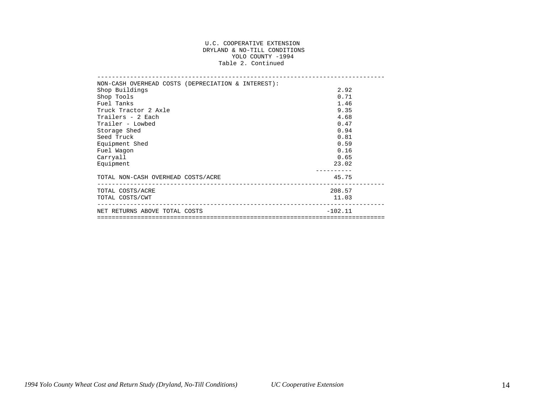#### U.C. COOPERATIVE EXTENSION DRYLAND & NO-TILL CONDITIONS YOLO COUNTY -1994 Table 2. Continued

| NON-CASH OVERHEAD COSTS (DEPRECIATION & INTEREST): |           |
|----------------------------------------------------|-----------|
| Shop Buildings                                     | 2.92      |
| Shop Tools                                         | 0.71      |
| Fuel Tanks                                         | 1.46      |
| Truck Tractor 2 Axle                               | 9.35      |
| Trailers - 2 Each                                  | 4.68      |
| Trailer - Lowbed                                   | 0.47      |
| Storage Shed                                       | 0.94      |
| Seed Truck                                         | 0.81      |
| Equipment Shed                                     | 0.59      |
| Fuel Wagon                                         | 0.16      |
| Carryall                                           | 0.65      |
| Equipment                                          | 23.02     |
|                                                    |           |
| TOTAL NON-CASH OVERHEAD COSTS/ACRE                 | 45.75     |
| TOTAL COSTS/ACRE                                   | 208.57    |
| TOTAL COSTS/CWT                                    | 11.03     |
| NET RETURNS ABOVE TOTAL COSTS                      | $-102.11$ |
|                                                    |           |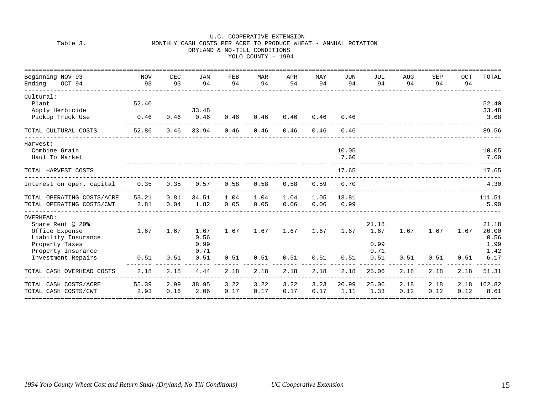|                                                                                                                |                           |              |                              |              | YOLO COUNTY - 1994 |              |                    |               |                               |                  |              |           |                                        |
|----------------------------------------------------------------------------------------------------------------|---------------------------|--------------|------------------------------|--------------|--------------------|--------------|--------------------|---------------|-------------------------------|------------------|--------------|-----------|----------------------------------------|
| Beginning NOV 93<br>Ending OCT 94                                                                              | NOV<br>93                 | DEC<br>93    | JAN<br>94                    | FEB<br>94    | MAR<br>94          | APR<br>94    | MAY<br>94          | JUN<br>94     | JUL<br>94                     | <b>AUG</b><br>94 | SEP<br>94    | OCT<br>94 | TOTAL                                  |
| Cultural:<br>Plant<br>Apply Herbicide<br>Pickup Truck Use                                                      | 52.40<br>0.46             | 0.46         | 33.48<br>0.46                | 0.46         | 0.46               | 0.46         | 0.46               | 0.46          |                               |                  |              |           | 52.40<br>33.48<br>3.68                 |
| TOTAL CULTURAL COSTS                                                                                           | -------- -------<br>52.86 | 0.46         | 33.94                        | 0.46         | 0.46               | 0.46         | 0.46               | 0.46          |                               |                  |              |           | 89.56                                  |
| Harvest:<br>Combine Grain<br>Haul To Market                                                                    |                           |              |                              |              |                    |              |                    | 10.05<br>7.60 |                               |                  |              |           | 10.05<br>7.60                          |
| TOTAL HARVEST COSTS                                                                                            |                           |              |                              |              |                    |              |                    | 17.65         |                               |                  |              |           | 17.65                                  |
| Interest on oper. capital 0.35                                                                                 |                           | 0.35         | 0.57                         | 0.58         | 0.58               | 0.58         | 0.59               | 0.70          |                               |                  |              |           | 4.30                                   |
| TOTAL OPERATING COSTS/ACRE<br>TOTAL OPERATING COSTS/CWT                                                        | 53.21<br>2.81             | 0.81<br>0.04 | 34.51<br>1.82                | 1.04<br>0.05 | 1.04<br>0.05       | 1.04<br>0.06 | 1.05 18.81<br>0.06 | 0.99          |                               |                  |              |           | 111.51<br>5.90                         |
| OVERHEAD:<br>Share Rent @ 20%<br>Office Expense<br>Liability Insurance<br>Property Taxes<br>Property Insurance | 1.67                      | 1.67         | 1.67<br>0.56<br>0.99<br>0.71 | 1.67         | 1.67               | 1.67         | 1.67               | 1.67          | 21.18<br>1.67<br>0.99<br>0.71 | 1.67             | 1.67         | 1.67      | 21.18<br>20.00<br>0.56<br>1.99<br>1.42 |
| Investment Repairs                                                                                             | 0.51                      | 0.51         | 0.51                         | 0.51         | 0.51               | 0.51         | 0.51               | 0.51          | 0.51                          | 0.51             | 0.51         | 0.51      | 6.17                                   |
| TOTAL CASH OVERHEAD COSTS                                                                                      | 2.18                      | 2.18         | 4.44                         | 2.18         | 2.18               | 2.18         | 2.18               | 2.18          | 25.06                         | 2.18             | 2.18         | 2.18      | 51.31                                  |
| TOTAL CASH COSTS/ACRE<br>TOTAL CASH COSTS/CWT                                                                  | 55.39<br>2.93             | 2.99<br>0.16 | 38.95<br>2.06                | 3.22<br>0.17 | 3.22<br>0.17       | 3.22<br>0.17 | 3.23<br>0.17       | 20.99<br>1.11 | 25.06<br>1.33                 | 2.18<br>0.12     | 2.18<br>0.12 | 0.12      | 2.18 162.82<br>8.61                    |

## U.C. COOPERATIVE EXTENSION<br>MONTHLY CASH COSTS PER ACRE TO PRODUCE WHEN MONTHLY CASH COSTS PER ACRE TO PRODUCE WHEAT - ANNUAL ROTATION DRYLAND & NO-TILL CONDITIONS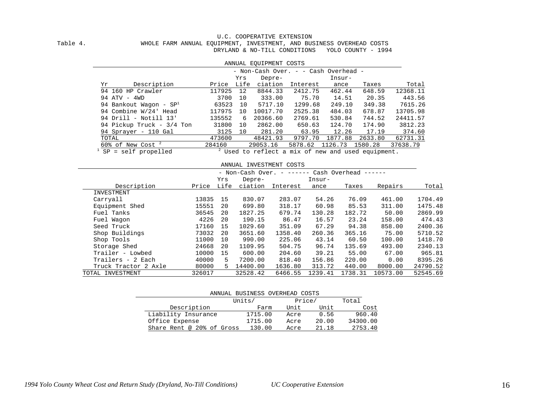### U.C. COOPERATIVE EXTENSION<br>WHOLE FARM ANNUAL EQUIPMENT, INVESTMENT, AND BUS WHOLE FARM ANNUAL EQUIPMENT, INVESTMENT, AND BUSINESS OVERHEAD COSTS DRYLAND & NO-TILL CONDITIONS YOLO COUNTY - 1994

|                                 |        |      | ANNUAL EQUIPMENT COSTS               |          |         |                                                            |          |
|---------------------------------|--------|------|--------------------------------------|----------|---------|------------------------------------------------------------|----------|
|                                 |        |      | - Non-Cash Over. - - Cash Overhead - |          |         |                                                            |          |
|                                 |        | Yrs  | Depre-                               |          | Insur-  |                                                            |          |
| Description<br>Υr               | Price  | Life | ciation                              | Interest | ance    | Taxes                                                      | Total    |
| 94 160 HP Crawler               | 117925 | 12   | 8844.33                              | 2412.75  | 462.44  | 648.59                                                     | 12368.11 |
| 94 ATV - 4WD                    | 3700   | 10   | 333.00                               | 75.70    | 14.51   | 20.35                                                      | 443.56   |
| 94 Bankout Wagon - $SP1$        | 63523  | 10   | 5717.10                              | 1299.68  | 249.10  | 349.38                                                     | 7615.26  |
| 94 Combine W/24' Head           | 117975 | 10   | 10017.70                             | 2525.38  | 484.03  | 678.87                                                     | 13705.98 |
| 94 Drill - Notill 13'           | 135552 | 6    | 20366.60                             | 2769.61  | 530.84  | 744.52                                                     | 24411.57 |
| 94 Pickup Truck - 3/4 Ton       | 31800  | 10   | 2862.00                              | 650.63   | 124.70  | 174.90                                                     | 3812.23  |
| 94 Sprayer - 110 Gal            | 3125   | 10   | 281.20                               | 63.95    | 12.26   | 17.19                                                      | 374.60   |
| TOTAL                           | 473600 |      | 48421.93                             | 9797.70  | 1877.88 | 2633.80                                                    | 62731.31 |
| $60\%$ of New Cost <sup>2</sup> | 284160 |      | 29053.16                             | 5878.62  | 1126.73 | 1580.28                                                    | 37638.79 |
| $CD = 2275$ $ 2772$             |        |      |                                      |          |         | 2 translation to Class a mice of more and crapel americans |          |

 $SP = self$  propelled  $CP = 2$  Used to reflect a mix of new and used equipment.

|                      |        |      |                  | ANNUAL INVESTMENT COSTS |         |               |          |          |
|----------------------|--------|------|------------------|-------------------------|---------|---------------|----------|----------|
|                      |        |      | - Non-Cash Over. |                         |         | Cash Overhead |          |          |
|                      |        | Yrs  | Depre-           |                         | Insur-  |               |          |          |
| Description          | Price  | Life | ciation          | Interest                | ance    | Taxes         | Repairs  | Total    |
| INVESTMENT           |        |      |                  |                         |         |               |          |          |
| Carryall             | 13835  | 15   | 830.07           | 283.07                  | 54.26   | 76.09         | 461.00   | 1704.49  |
| Equipment Shed       | 15551  | 20   | 699.80           | 318.17                  | 60.98   | 85.53         | 311.00   | 1475.48  |
| Fuel Tanks           | 36545  | 20   | 1827.25          | 679.74                  | 130.28  | 182.72        | 50.00    | 2869.99  |
| Fuel Wagon           | 4226   | 20   | 190.15           | 86.47                   | 16.57   | 23.24         | 158.00   | 474.43   |
| Seed Truck           | 17160  | 15   | 1029.60          | 351.09                  | 67.29   | 94.38         | 858.00   | 2400.36  |
| Shop Buildings       | 73032  | 20   | 3651.60          | 1358.40                 | 260.36  | 365.16        | 75.00    | 5710.52  |
| Shop Tools           | 11000  | 10   | 990.00           | 225.06                  | 43.14   | 60.50         | 100.00   | 1418.70  |
| Storage Shed         | 24668  | 20   | 1109.95          | 504.75                  | 96.74   | 135.69        | 493.00   | 2340.13  |
| Trailer - Lowbed     | 10000  | 15   | 600.00           | 204.60                  | 39.21   | 55.00         | 67.00    | 965.81   |
| Trailers - 2 Each    | 40000  | 5.   | 7200.00          | 818.40                  | 156.86  | 220.00        | 0.00     | 8395.26  |
| Truck Tractor 2 Axle | 80000  | 5.   | 14400.00         | 1636.80                 | 313.72  | 440.00        | 8000.00  | 24790.52 |
| TOTAL INVESTMENT     | 326017 |      | 32528.42         | 6466.55                 | 1239.41 | 1738.31       | 10573.00 | 52545.69 |

| ANNUAL BUSINESS OVERHEAD COSTS |         |        |       |          |  |  |  |  |  |
|--------------------------------|---------|--------|-------|----------|--|--|--|--|--|
|                                | Units/  | Price/ |       | Total    |  |  |  |  |  |
| Description                    | Farm    | Unit   | Unit  | Cost     |  |  |  |  |  |
| Liability Insurance            | 1715.00 | Acre   | 0.56  | 960.40   |  |  |  |  |  |
| Office Expense                 | 1715.00 | Acre   | 20.00 | 34300.00 |  |  |  |  |  |
| Share Rent @ 20% of Gross      | 130.00  | Acre   | 21.18 | 2753.40  |  |  |  |  |  |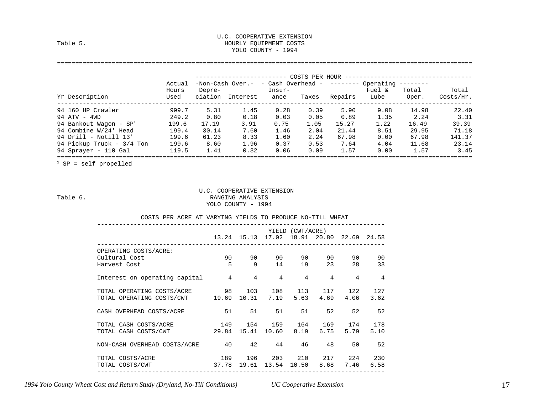#### U.C. COOPERATIVE EXTENSION HOURLY EQUIPMENT COSTS YOLO COUNTY - 1994

#### ==================================================================================================================

|                           |                         |                   |                                                              |                | COSTS PER HOUR |         |                |                |                    |
|---------------------------|-------------------------|-------------------|--------------------------------------------------------------|----------------|----------------|---------|----------------|----------------|--------------------|
| Yr Description            | Actual<br>Hours<br>Used | Depre-<br>ciation | $-Non-Cash Over. - cash Overhead - --- Overhead$<br>Interest | Insur-<br>ance | Taxes          | Repairs | Fuel &<br>Lube | Total<br>Oper. | Total<br>Costs/Hr. |
| 94 160 HP Crawler         | 999.7                   | 5.31              | 1.45                                                         | 0.28           | 0.39           | 5.90    | 9.08           | 14.98          | 22.40              |
| 94 ATV - 4WD              | 249.2                   | 0.80              | 0.18                                                         | 0.03           | 0.05           | 0.89    | 1.35           | 2.24           | 3.31               |
| 94 Bankout Waqon - $SP1$  | 199.6                   | 17.19             | 3.91                                                         | 0.75           | 1.05           | 15.27   | 1.22           | 16.49          | 39.39              |
| 94 Combine W/24' Head     | 199.4                   | 30.14             | 7.60                                                         | 1.46           | 2.04           | 21.44   | 8.51           | 29.95          | 71.18              |
| 94 Drill - Notill 13'     | 199.6                   | 61.23             | 8.33                                                         | 1.60           | 2.24           | 67.98   | 0.00           | 67.98          | 141.37             |
| 94 Pickup Truck - 3/4 Ton | 199.6                   | 8.60              | 1.96                                                         | 0.37           | 0.53           | 7.64    | 4.04           | 11.68          | 23.14              |
| 94 Sprayer - 110 Gal      | 119.5                   | 1.41              | 0.32                                                         | 0.06           | 0.09           | 1.57    | 0.00           | 1.57           | 3.45               |

 $1$  SP = self propelled

#### U.C. COOPERATIVE EXTENSION Table 6. Table 6. YOLO COUNTY - 1994

|                                                           |                |              |                                           | YIELD (CWT/ACRE) |      |                      |                |
|-----------------------------------------------------------|----------------|--------------|-------------------------------------------|------------------|------|----------------------|----------------|
|                                                           |                |              | 13.24 15.13 17.02 18.91 20.80 22.69 24.58 |                  |      |                      |                |
| OPERATING COSTS/ACRE:                                     |                |              |                                           |                  |      |                      |                |
| Cultural Cost                                             | 90 90 90 90 90 |              |                                           |                  |      | 90 —                 | 90             |
| Harvest Cost                                              |                | $5 \qquad 9$ |                                           | 14 19 23         |      | 28                   | 33             |
| Interest on operating capital $4$ $4$ $4$ $4$ $4$ $4$ $4$ |                |              |                                           |                  |      |                      | $\overline{4}$ |
| TOTAL OPERATING COSTS/ACRE 98 103 108 113 117 122         |                |              |                                           |                  |      |                      | 127            |
| TOTAL OPERATING COSTS/CWT                                 |                |              | 19.69 10.31 7.19 5.63 4.69 4.06           |                  |      |                      | 3.62           |
| CASH OVERHEAD COSTS/ACRE                                  | 51             |              | 51 51 51                                  |                  | 52   |                      | 52 52          |
| TOTAL CASH COSTS/ACRE 149 154 159 164 169 174 178         |                |              |                                           |                  |      |                      |                |
| TOTAL CASH COSTS/CWT                                      |                |              | 29.84 15.41 10.60 8.19                    |                  | 6.75 | 5.79                 | 5.10           |
| NON-CASH OVERHEAD COSTS/ACRE 40 42 44 46                  |                |              |                                           |                  | 48   |                      | 50 52          |
| TOTAL COSTS/ACRE                                          |                |              | 189 196 203 210 217 224 230               |                  |      |                      |                |
| TOTAL COSTS/CWT                                           |                |              | 37.78 19.61 13.54                         |                  |      | 10.50 8.68 7.46 6.58 |                |

COSTS PER ACRE AT VARYING YIELDS TO PRODUCE NO-TILL WHEAT

*1994 Yolo County Wheat Cost and Return Study (Dryland, No-Till Conditions) UC Cooperative Extension* 17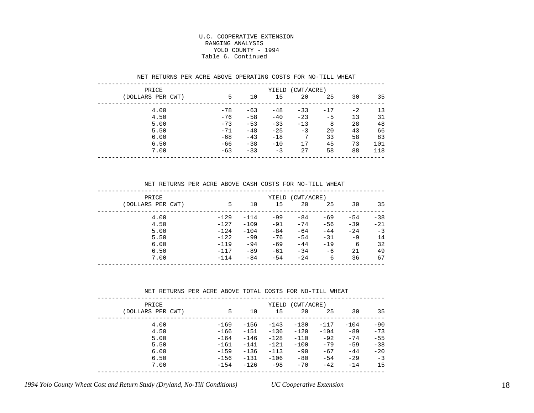#### U.C. COOPERATIVE EXTENSION RANGING ANALYSIS YOLO COUNTY - 1994 Table 6. Continued

| PRICE             | (CWT/ACRE)<br>YIELD |       |       |       |       |      |     |  |  |  |  |
|-------------------|---------------------|-------|-------|-------|-------|------|-----|--|--|--|--|
| (DOLLARS PER CWT) | 5                   | 10    | 15    | 20    | 25    | 30   | 35  |  |  |  |  |
| 4.00              | $-78$               | $-63$ | $-48$ | $-33$ | $-17$ | $-2$ | 13  |  |  |  |  |
| 4.50              | $-76$               | $-58$ | $-40$ | $-23$ | $-5$  | 13   | 31  |  |  |  |  |
| 5.00              | $-73$               | $-53$ | $-33$ | $-13$ | 8     | 28   | 48  |  |  |  |  |
| 5.50              | $-71$               | $-48$ | $-25$ | $-3$  | 20    | 43   | 66  |  |  |  |  |
| 6.00              | $-68$               | $-43$ | $-18$ | 7     | 33    | 58   | 83  |  |  |  |  |
| 6.50              | -66                 | $-38$ | $-10$ | 17    | 45    | 73   | 101 |  |  |  |  |
| 7.00              | $-63$               | $-33$ | $-3$  | 27    | 58    | 88   | 118 |  |  |  |  |

#### NET RETURNS PER ACRE ABOVE OPERATING COSTS FOR NO-TILL WHEAT

NET RETURNS PER ACRE ABOVE CASH COSTS FOR NO-TILL WHEAT

| PRICE             |        |        | YIELD | (CWT/ACRE) |       |        |       |
|-------------------|--------|--------|-------|------------|-------|--------|-------|
| (DOLLARS PER CWT) | 5      | 10     | 15    | 20         | 25    | 30     | 35    |
| 4.00              | $-129$ | $-114$ | $-99$ | $-84$      | $-69$ | $-54$  | $-38$ |
| 4.50              | $-127$ | $-109$ | $-91$ | $-74$      | $-56$ | $-39$  | $-21$ |
| 5.00              | $-124$ | $-104$ | $-84$ | $-64$      | $-44$ | $-2.4$ | $-3$  |
| 5.50              | $-122$ | $-99$  | $-76$ | $-54$      | $-31$ | -9     | 14    |
| 6.00              | $-119$ | $-94$  | $-69$ | $-44$      | $-19$ | 6      | 32    |
| 6.50              | $-117$ | $-89$  | $-61$ | $-34$      | $-6$  | 21     | 49    |
| 7.00              | $-114$ | $-84$  | $-54$ | $-24$      | 6     | 36     | 67    |
|                   |        |        |       |            |       |        |       |

#### NET RETURNS PER ACRE ABOVE TOTAL COSTS FOR NO-TILL WHEAT

| PRICE<br>(DOLLARS PER CWT) | 5      | 10     | YIELD<br>15 | (CWT/ACRE)<br>20 | 25     | 30     | 35    |
|----------------------------|--------|--------|-------------|------------------|--------|--------|-------|
|                            |        |        |             |                  |        |        |       |
| 4.00                       | $-169$ | $-156$ | $-143$      | $-130$           | $-117$ | $-104$ | $-90$ |
| 4.50                       | $-166$ | $-151$ | $-136$      | $-120$           | $-104$ | $-89$  | $-73$ |
| 5.00                       | $-164$ | $-146$ | $-128$      | $-110$           | $-92$  | $-74$  | $-55$ |
| 5.50                       | $-161$ | $-141$ | $-121$      | $-100$           | $-79$  | $-59$  | $-38$ |
| 6.00                       | $-159$ | $-136$ | $-113$      | $-90$            | $-67$  | $-44$  | $-20$ |
| 6.50                       | $-156$ | $-131$ | $-106$      | $-80$            | $-54$  | $-29$  | $-3$  |
| 7.00                       | $-154$ | $-126$ | $-98$       | $-70$            | $-42$  | $-14$  | 15    |
|                            |        |        |             |                  |        |        |       |

*1994 Yolo County Wheat Cost and Return Study (Dryland, No-Till Conditions) UC Cooperative Extension* 18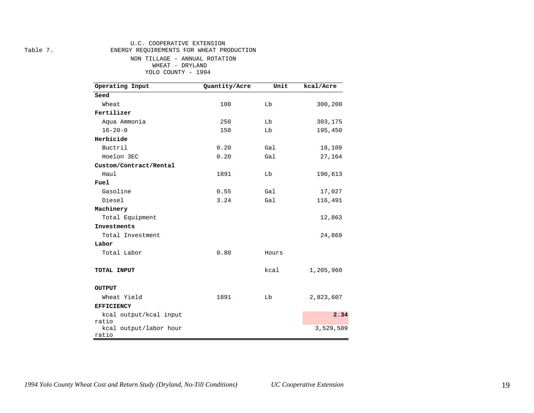#### U.C. COOPERATIVE EXTENSION

Table 7. ENERGY REQUIREMENTS FOR WHEAT PRODUCTION

NON TILLAGE - ANNUAL ROTATION WHEAT - DRYLAND YOLO COUNTY - 1994

| Operating Input                 | Quantity/Acre | Unit  | kcal/Acre |  |  |  |
|---------------------------------|---------------|-------|-----------|--|--|--|
| Seed                            |               |       |           |  |  |  |
| Wheat                           | 100           | Lb    | 300,200   |  |  |  |
| Fertilizer                      |               |       |           |  |  |  |
| Aqua Ammonia                    | 250           | Lb    | 303,175   |  |  |  |
| $16 - 20 - 0$                   | 150           | Lb    | 195,450   |  |  |  |
| Herbicide                       |               |       |           |  |  |  |
| Buctril                         | 0.20          | Gal   | 18,109    |  |  |  |
| Hoelon 3EC                      | 0.20          | Gal   | 27,164    |  |  |  |
| Custom/Contract/Rental          |               |       |           |  |  |  |
| Haul                            | 1891          | Lb    | 190,613   |  |  |  |
| Fuel                            |               |       |           |  |  |  |
| Gasoline                        | 0.55          | Gal   | 17,027    |  |  |  |
| Diesel                          | 3.24          | Gal   | 116,491   |  |  |  |
| Machinery                       |               |       |           |  |  |  |
| Total Equipment                 |               |       | 12,863    |  |  |  |
| Investments                     |               |       |           |  |  |  |
| Total Investment                |               |       | 24,869    |  |  |  |
| Labor                           |               |       |           |  |  |  |
| Total Labor                     | 0.80          | Hours |           |  |  |  |
| TOTAL INPUT                     |               | kcal  | 1,205,960 |  |  |  |
| OUTPUT                          |               |       |           |  |  |  |
| Wheat Yield                     | 1891          | Lb    | 2,823,607 |  |  |  |
| <b>EFFICIENCY</b>               |               |       |           |  |  |  |
| kcal output/kcal input          |               |       | 2.34      |  |  |  |
| ratio<br>kcal output/labor hour |               |       | 3,529,509 |  |  |  |
| ratio                           |               |       |           |  |  |  |